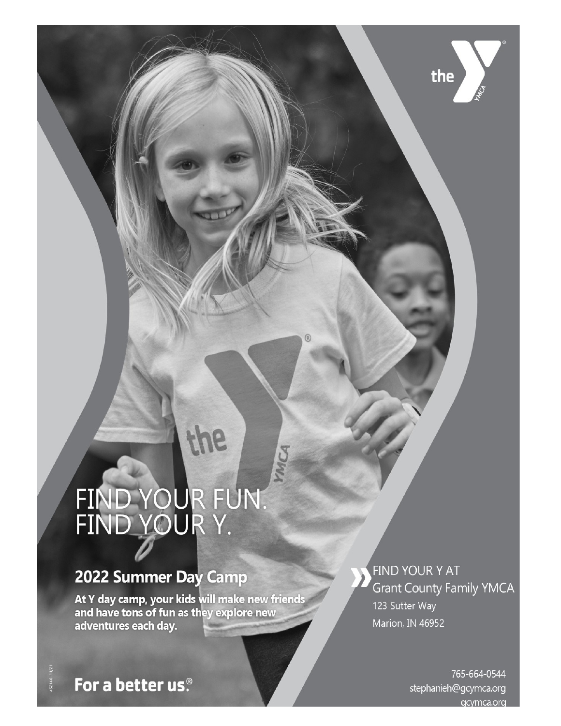# FIND YOUR FUN.<br>FIND YOUR Y.

the

WAG

## 2022 Summer Day Camp

At Y day camp, your kids will make new friends<br>and have tons of fun as they explore new adventures each day.

FIND YOUR Y AT **Grant County Family YMCA** 123 Sutter Way Marion, IN 46952

**Grant County Family YMCA**

the

ww.grantcounty.com/services/www.grantcounty/www.grantcounty-forstephanieh@gcymca.org acvmca.org

For a better us.<sup>®</sup>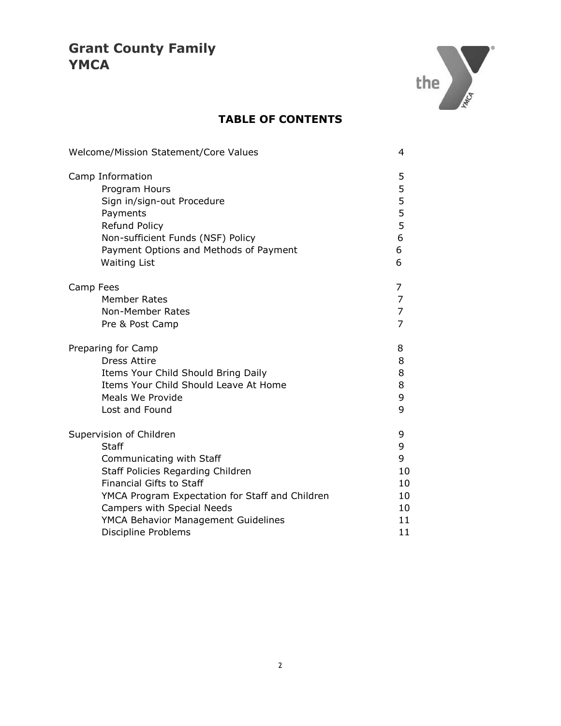

#### **TABLE OF CONTENTS**

| Welcome/Mission Statement/Core Values           |                |  |
|-------------------------------------------------|----------------|--|
| Camp Information                                | 5              |  |
| Program Hours                                   | 5              |  |
| Sign in/sign-out Procedure                      | 5              |  |
| Payments                                        | 5              |  |
| Refund Policy                                   | 5              |  |
| Non-sufficient Funds (NSF) Policy               | 6              |  |
| Payment Options and Methods of Payment          | 6              |  |
| <b>Waiting List</b>                             | 6              |  |
| Camp Fees                                       | 7              |  |
| <b>Member Rates</b>                             | 7              |  |
| <b>Non-Member Rates</b>                         | $\overline{7}$ |  |
| Pre & Post Camp                                 | $\overline{7}$ |  |
| Preparing for Camp                              | 8              |  |
| <b>Dress Attire</b>                             | 8              |  |
| Items Your Child Should Bring Daily             | 8              |  |
| Items Your Child Should Leave At Home           | 8              |  |
| Meals We Provide                                | 9              |  |
| Lost and Found                                  | 9              |  |
| Supervision of Children                         | 9              |  |
| Staff                                           | 9              |  |
| Communicating with Staff                        | 9              |  |
| Staff Policies Regarding Children               | 10             |  |
| <b>Financial Gifts to Staff</b>                 | 10             |  |
| YMCA Program Expectation for Staff and Children | 10             |  |
| Campers with Special Needs                      | 10             |  |
| YMCA Behavior Management Guidelines             | 11             |  |
| Discipline Problems                             | 11             |  |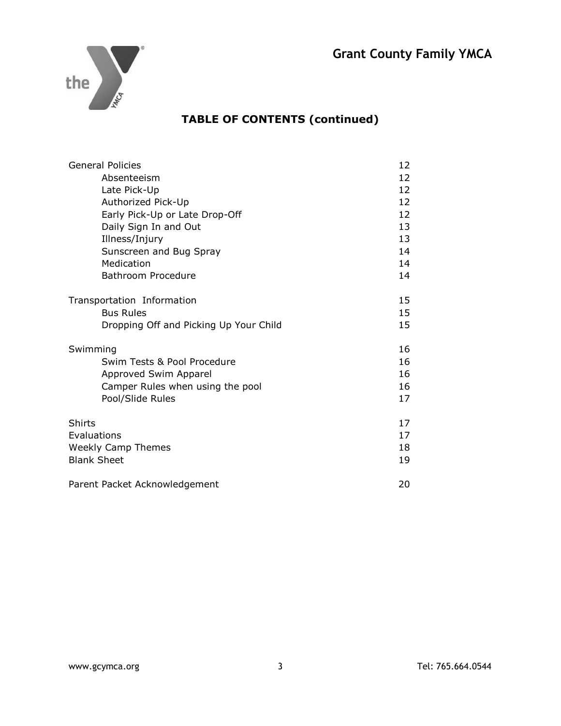

#### **TABLE OF CONTENTS (continued)**

| <b>General Policies</b>                | 12 |
|----------------------------------------|----|
| Absenteeism                            | 12 |
| Late Pick-Up                           | 12 |
| Authorized Pick-Up                     | 12 |
| Early Pick-Up or Late Drop-Off         | 12 |
| Daily Sign In and Out                  | 13 |
| Illness/Injury                         | 13 |
| Sunscreen and Bug Spray                | 14 |
| Medication                             | 14 |
| Bathroom Procedure                     | 14 |
|                                        |    |
| Transportation Information             | 15 |
| <b>Bus Rules</b>                       | 15 |
| Dropping Off and Picking Up Your Child | 15 |
|                                        |    |
| Swimming                               | 16 |
| Swim Tests & Pool Procedure            | 16 |
| Approved Swim Apparel                  | 16 |
| Camper Rules when using the pool       | 16 |
| Pool/Slide Rules                       | 17 |
|                                        |    |
| Shirts                                 | 17 |
| Evaluations                            | 17 |
| <b>Weekly Camp Themes</b>              | 18 |
| <b>Blank Sheet</b>                     | 19 |
|                                        |    |
| Parent Packet Acknowledgement          | 20 |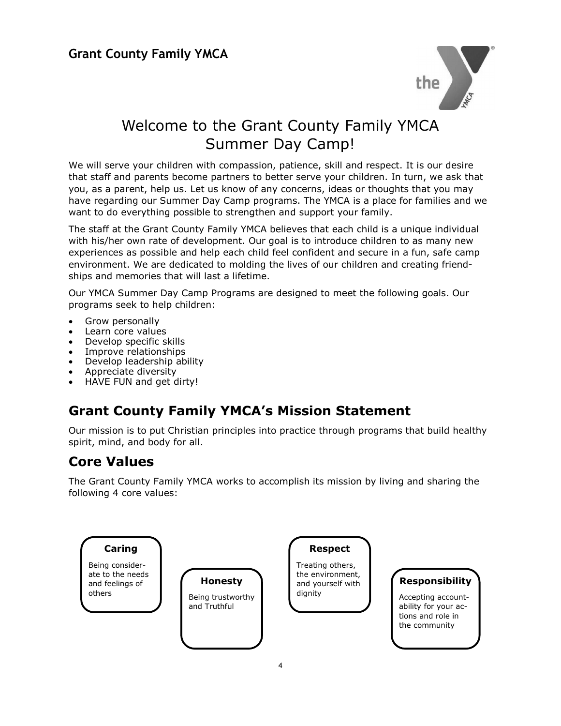

### Welcome to the Grant County Family YMCA Summer Day Camp!

We will serve your children with compassion, patience, skill and respect. It is our desire that staff and parents become partners to better serve your children. In turn, we ask that you, as a parent, help us. Let us know of any concerns, ideas or thoughts that you may have regarding our Summer Day Camp programs. The YMCA is a place for families and we want to do everything possible to strengthen and support your family.

The staff at the Grant County Family YMCA believes that each child is a unique individual with his/her own rate of development. Our goal is to introduce children to as many new experiences as possible and help each child feel confident and secure in a fun, safe camp environment. We are dedicated to molding the lives of our children and creating friendships and memories that will last a lifetime.

Our YMCA Summer Day Camp Programs are designed to meet the following goals. Our programs seek to help children:

- Grow personally
- Learn core values
- Develop specific skills
- Improve relationships
- Develop leadership ability
- Appreciate diversity
- HAVE FUN and get dirty!

#### **Grant County Family YMCA's Mission Statement**

Our mission is to put Christian principles into practice through programs that build healthy spirit, mind, and body for all.

#### **Core Values**

The Grant County Family YMCA works to accomplish its mission by living and sharing the following 4 core values:

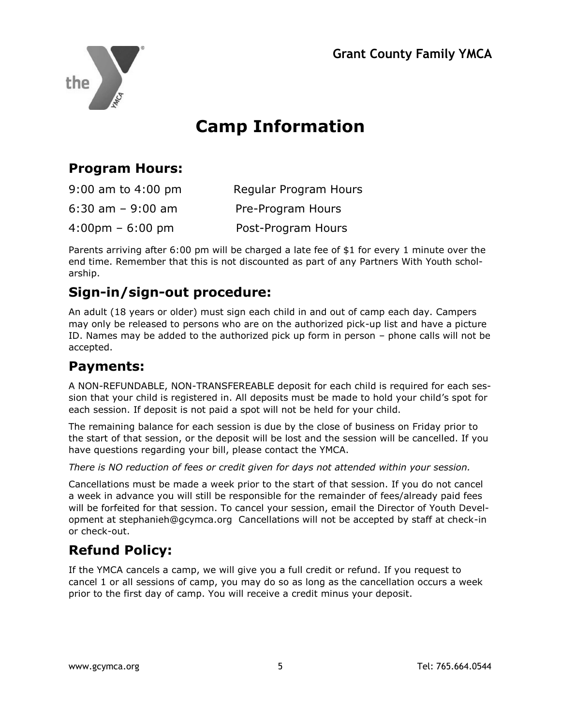

## **Camp Information**

#### **Program Hours:**

| $9:00$ am to $4:00$ pm            | Regular Program Hours |
|-----------------------------------|-----------------------|
| $6:30$ am $-9:00$ am              | Pre-Program Hours     |
| $4:00 \text{pm} - 6:00 \text{pm}$ | Post-Program Hours    |

Parents arriving after 6:00 pm will be charged a late fee of \$1 for every 1 minute over the end time. Remember that this is not discounted as part of any Partners With Youth scholarship.

#### **Sign-in/sign-out procedure:**

An adult (18 years or older) must sign each child in and out of camp each day. Campers may only be released to persons who are on the authorized pick-up list and have a picture ID. Names may be added to the authorized pick up form in person – phone calls will not be accepted.

#### **Payments:**

A NON-REFUNDABLE, NON-TRANSFEREABLE deposit for each child is required for each session that your child is registered in. All deposits must be made to hold your child's spot for each session. If deposit is not paid a spot will not be held for your child.

The remaining balance for each session is due by the close of business on Friday prior to the start of that session, or the deposit will be lost and the session will be cancelled. If you have questions regarding your bill, please contact the YMCA.

*There is NO reduction of fees or credit given for days not attended within your session.*

Cancellations must be made a week prior to the start of that session. If you do not cancel a week in advance you will still be responsible for the remainder of fees/already paid fees will be forfeited for that session. To cancel your session, email the Director of Youth Development at stephanieh@gcymca.org Cancellations will not be accepted by staff at check-in or check-out.

#### **Refund Policy:**

If the YMCA cancels a camp, we will give you a full credit or refund. If you request to cancel 1 or all sessions of camp, you may do so as long as the cancellation occurs a week prior to the first day of camp. You will receive a credit minus your deposit.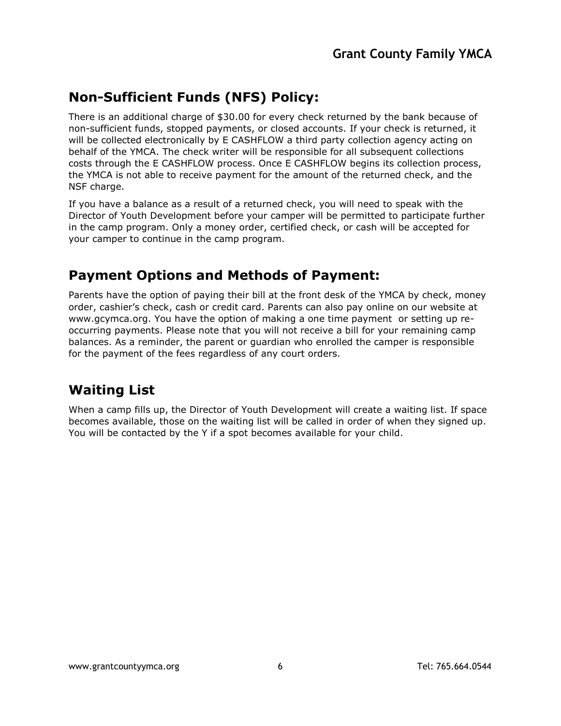#### **Non-Sufficient Funds (NFS) Policy:**

There is an additional charge of \$30.00 for every check returned by the bank because of non-sufficient funds, stopped payments, or closed accounts. If your check is returned, it will be collected electronically by E CASHFLOW a third party collection agency acting on behalf of the YMCA. The check writer will be responsible for all subsequent collections costs through the E CASHFLOW process. Once E CASHFLOW begins its collection process, the YMCA is not able to receive payment for the amount of the returned check, and the NSF charge.

If you have a balance as a result of a returned check, you will need to speak with the Director of Youth Development before your camper will be permitted to participate further in the camp program. Only a money order, certified check, or cash will be accepted for your camper to continue in the camp program.

#### **Payment Options and Methods of Payment:**

Parents have the option of paying their bill at the front desk of the YMCA by check, money order, cashier's check, cash or credit card. Parents can also pay online on our website at www.gcymca.org. You have the option of making a one time payment or setting up reoccurring payments. Please note that you will not receive a bill for your remaining camp balances. As a reminder, the parent or guardian who enrolled the camper is responsible for the payment of the fees regardless of any court orders.

#### **Waiting List**

When a camp fills up, the Director of Youth Development will create a waiting list. If space becomes available, those on the waiting list will be called in order of when they signed up. You will be contacted by the Y if a spot becomes available for your child.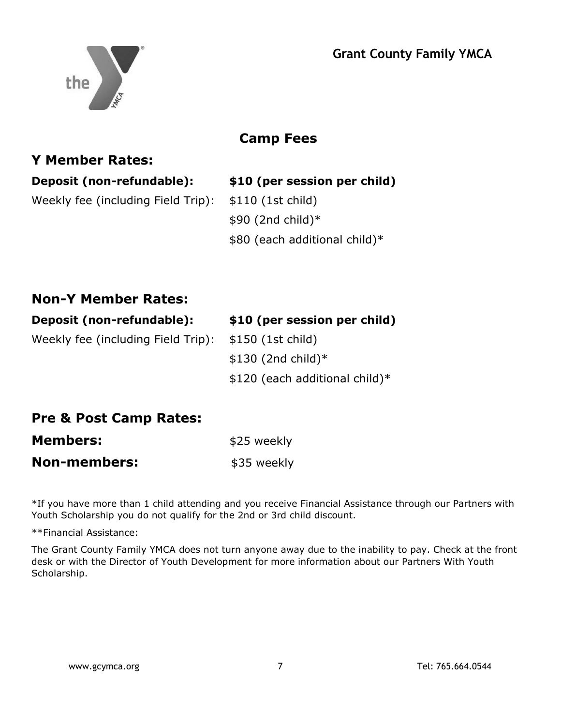

#### **Camp Fees**

#### **Y Member Rates:**

**Deposit (non-refundable): \$10 (per session per child)**  Weekly fee (including Field Trip): \$110 (1st child) \$90 (2nd child)\* \$80 (each additional child)\*

#### **Non-Y Member Rates:**

| Deposit (non-refundable):                            | \$10 (per session per child)   |
|------------------------------------------------------|--------------------------------|
| Weekly fee (including Field Trip): \$150 (1st child) |                                |
|                                                      | $$130$ (2nd child)*            |
|                                                      | \$120 (each additional child)* |

#### **Pre & Post Camp Rates:**

| <b>Members:</b>     | \$25 weekly |  |
|---------------------|-------------|--|
| <b>Non-members:</b> | \$35 weekly |  |

\*If you have more than 1 child attending and you receive Financial Assistance through our Partners with Youth Scholarship you do not qualify for the 2nd or 3rd child discount.

\*\*Financial Assistance:

The Grant County Family YMCA does not turn anyone away due to the inability to pay. Check at the front desk or with the Director of Youth Development for more information about our Partners With Youth Scholarship.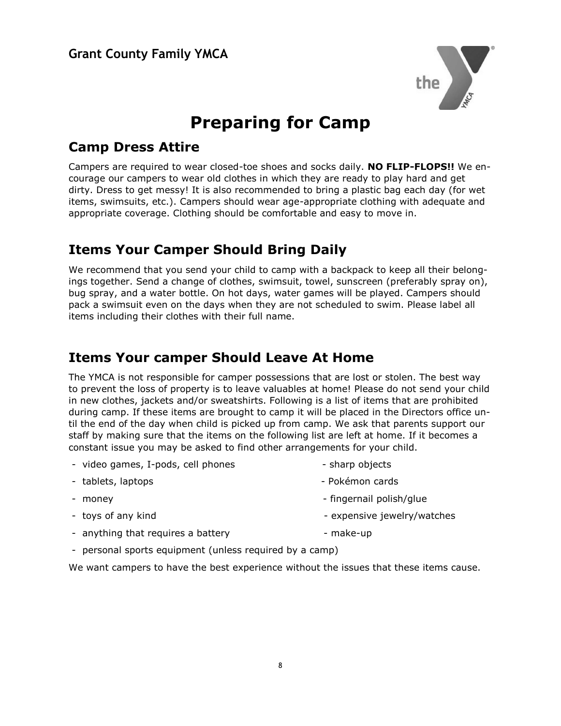

## **Preparing for Camp**

#### **Camp Dress Attire**

Campers are required to wear closed-toe shoes and socks daily. **NO FLIP-FLOPS!!** We encourage our campers to wear old clothes in which they are ready to play hard and get dirty. Dress to get messy! It is also recommended to bring a plastic bag each day (for wet items, swimsuits, etc.). Campers should wear age-appropriate clothing with adequate and appropriate coverage. Clothing should be comfortable and easy to move in.

#### **Items Your Camper Should Bring Daily**

We recommend that you send your child to camp with a backpack to keep all their belongings together. Send a change of clothes, swimsuit, towel, sunscreen (preferably spray on), bug spray, and a water bottle. On hot days, water games will be played. Campers should pack a swimsuit even on the days when they are not scheduled to swim. Please label all items including their clothes with their full name.

#### **Items Your camper Should Leave At Home**

The YMCA is not responsible for camper possessions that are lost or stolen. The best way to prevent the loss of property is to leave valuables at home! Please do not send your child in new clothes, jackets and/or sweatshirts. Following is a list of items that are prohibited during camp. If these items are brought to camp it will be placed in the Directors office until the end of the day when child is picked up from camp. We ask that parents support our staff by making sure that the items on the following list are left at home. If it becomes a constant issue you may be asked to find other arrangements for your child.

- video games, I-pods, cell phones sharp objects - tablets, laptops - Pokémon cards - money extended to the state of the state of the fingernal polish/glue - toys of any kind  $\overline{\phantom{a}}$ - anything that requires a battery entity and the make-up
- personal sports equipment (unless required by a camp)

We want campers to have the best experience without the issues that these items cause.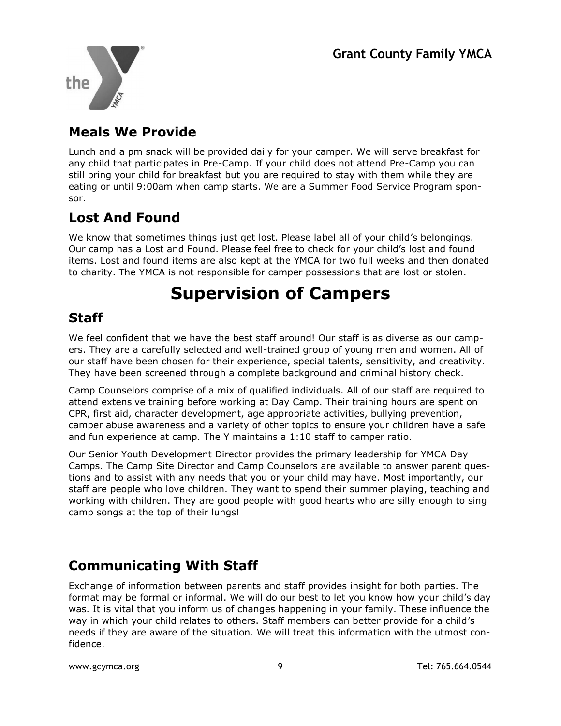

#### **Meals We Provide**

Lunch and a pm snack will be provided daily for your camper. We will serve breakfast for any child that participates in Pre-Camp. If your child does not attend Pre-Camp you can still bring your child for breakfast but you are required to stay with them while they are eating or until 9:00am when camp starts. We are a Summer Food Service Program sponsor.

#### **Lost And Found**

We know that sometimes things just get lost. Please label all of your child's belongings. Our camp has a Lost and Found. Please feel free to check for your child's lost and found items. Lost and found items are also kept at the YMCA for two full weeks and then donated to charity. The YMCA is not responsible for camper possessions that are lost or stolen.

## **Supervision of Campers**

#### **Staff**

We feel confident that we have the best staff around! Our staff is as diverse as our campers. They are a carefully selected and well-trained group of young men and women. All of our staff have been chosen for their experience, special talents, sensitivity, and creativity. They have been screened through a complete background and criminal history check.

Camp Counselors comprise of a mix of qualified individuals. All of our staff are required to attend extensive training before working at Day Camp. Their training hours are spent on CPR, first aid, character development, age appropriate activities, bullying prevention, camper abuse awareness and a variety of other topics to ensure your children have a safe and fun experience at camp. The Y maintains a 1:10 staff to camper ratio.

Our Senior Youth Development Director provides the primary leadership for YMCA Day Camps. The Camp Site Director and Camp Counselors are available to answer parent questions and to assist with any needs that you or your child may have. Most importantly, our staff are people who love children. They want to spend their summer playing, teaching and working with children. They are good people with good hearts who are silly enough to sing camp songs at the top of their lungs!

#### **Communicating With Staff**

Exchange of information between parents and staff provides insight for both parties. The format may be formal or informal. We will do our best to let you know how your child's day was. It is vital that you inform us of changes happening in your family. These influence the way in which your child relates to others. Staff members can better provide for a child's needs if they are aware of the situation. We will treat this information with the utmost confidence.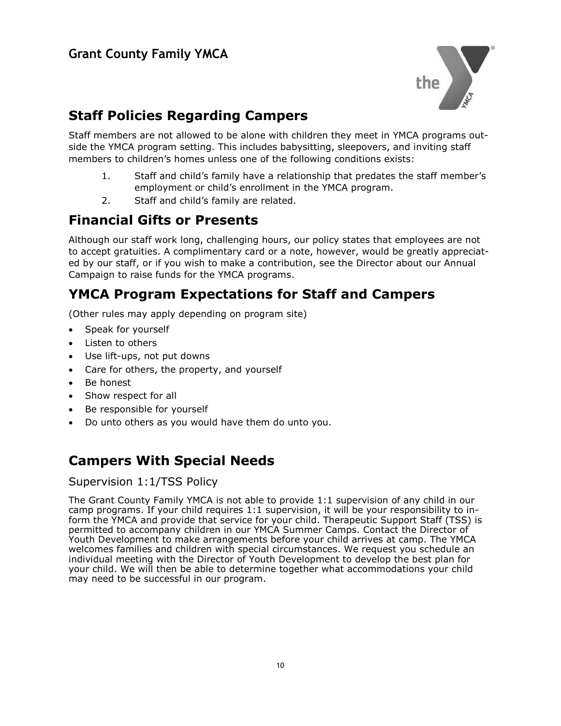

#### **Staff Policies Regarding Campers**

Staff members are not allowed to be alone with children they meet in YMCA programs outside the YMCA program setting. This includes babysitting, sleepovers, and inviting staff members to children's homes unless one of the following conditions exists:

- 1. Staff and child's family have a relationship that predates the staff member's employment or child's enrollment in the YMCA program.
- 2. Staff and child's family are related.

#### **Financial Gifts or Presents**

Although our staff work long, challenging hours, our policy states that employees are not to accept gratuities. A complimentary card or a note, however, would be greatly appreciated by our staff, or if you wish to make a contribution, see the Director about our Annual Campaign to raise funds for the YMCA programs.

#### **YMCA Program Expectations for Staff and Campers**

(Other rules may apply depending on program site)

- Speak for yourself
- Listen to others
- Use lift-ups, not put downs
- Care for others, the property, and yourself
- Be honest
- Show respect for all
- Be responsible for yourself
- Do unto others as you would have them do unto you.

#### **Campers With Special Needs**

#### Supervision 1:1/TSS Policy

The Grant County Family YMCA is not able to provide 1:1 supervision of any child in our camp programs. If your child requires 1:1 supervision, it will be your responsibility to inform the YMCA and provide that service for your child. Therapeutic Support Staff (TSS) is permitted to accompany children in our YMCA Summer Camps. Contact the Director of Youth Development to make arrangements before your child arrives at camp. The YMCA welcomes families and children with special circumstances. We request you schedule an individual meeting with the Director of Youth Development to develop the best plan for your child. We will then be able to determine together what accommodations your child may need to be successful in our program.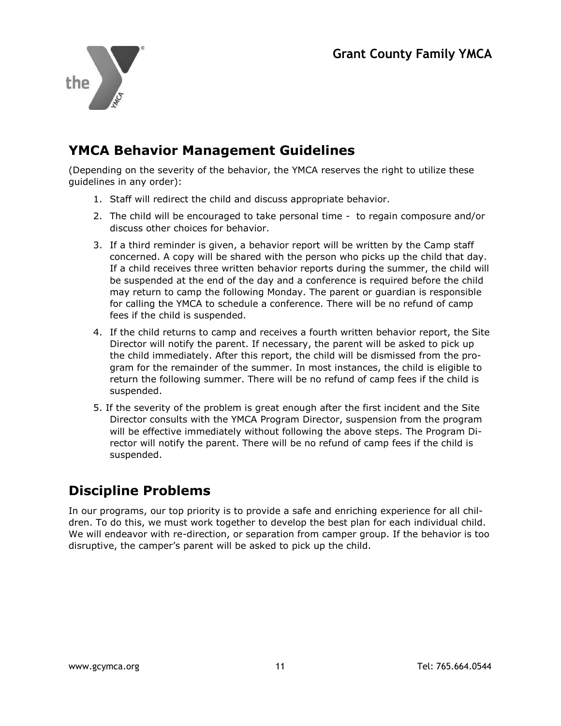

#### **YMCA Behavior Management Guidelines**

(Depending on the severity of the behavior, the YMCA reserves the right to utilize these guidelines in any order):

- 1. Staff will redirect the child and discuss appropriate behavior.
- 2. The child will be encouraged to take personal time to regain composure and/or discuss other choices for behavior.
- 3. If a third reminder is given, a behavior report will be written by the Camp staff concerned. A copy will be shared with the person who picks up the child that day. If a child receives three written behavior reports during the summer, the child will be suspended at the end of the day and a conference is required before the child may return to camp the following Monday. The parent or guardian is responsible for calling the YMCA to schedule a conference. There will be no refund of camp fees if the child is suspended.
- 4. If the child returns to camp and receives a fourth written behavior report, the Site Director will notify the parent. If necessary, the parent will be asked to pick up the child immediately. After this report, the child will be dismissed from the program for the remainder of the summer. In most instances, the child is eligible to return the following summer. There will be no refund of camp fees if the child is suspended.
- 5. If the severity of the problem is great enough after the first incident and the Site Director consults with the YMCA Program Director, suspension from the program will be effective immediately without following the above steps. The Program Director will notify the parent. There will be no refund of camp fees if the child is suspended.

#### **Discipline Problems**

In our programs, our top priority is to provide a safe and enriching experience for all children. To do this, we must work together to develop the best plan for each individual child. We will endeavor with re-direction, or separation from camper group. If the behavior is too disruptive, the camper's parent will be asked to pick up the child.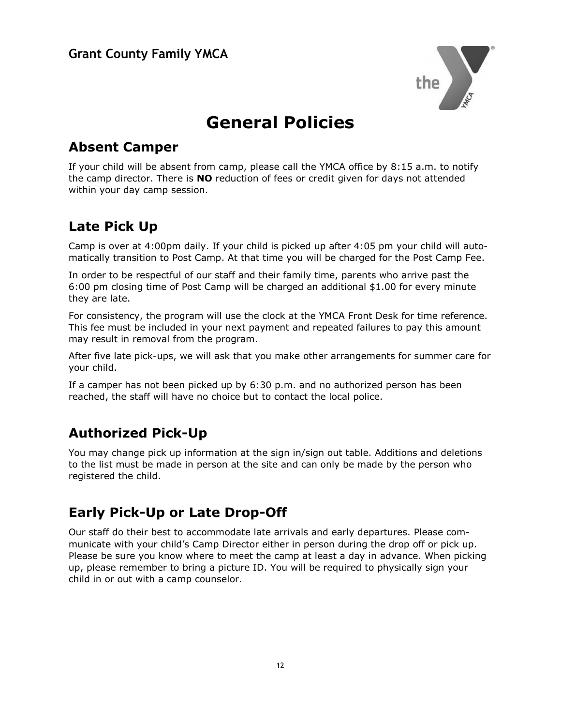

## **General Policies**

#### **Absent Camper**

If your child will be absent from camp, please call the YMCA office by 8:15 a.m. to notify the camp director. There is **NO** reduction of fees or credit given for days not attended within your day camp session.

#### **Late Pick Up**

Camp is over at 4:00pm daily. If your child is picked up after 4:05 pm your child will automatically transition to Post Camp. At that time you will be charged for the Post Camp Fee.

In order to be respectful of our staff and their family time, parents who arrive past the 6:00 pm closing time of Post Camp will be charged an additional \$1.00 for every minute they are late.

For consistency, the program will use the clock at the YMCA Front Desk for time reference. This fee must be included in your next payment and repeated failures to pay this amount may result in removal from the program.

After five late pick-ups, we will ask that you make other arrangements for summer care for your child.

If a camper has not been picked up by 6:30 p.m. and no authorized person has been reached, the staff will have no choice but to contact the local police.

#### **Authorized Pick-Up**

You may change pick up information at the sign in/sign out table. Additions and deletions to the list must be made in person at the site and can only be made by the person who registered the child.

#### **Early Pick-Up or Late Drop-Off**

Our staff do their best to accommodate late arrivals and early departures. Please communicate with your child's Camp Director either in person during the drop off or pick up. Please be sure you know where to meet the camp at least a day in advance. When picking up, please remember to bring a picture ID. You will be required to physically sign your child in or out with a camp counselor.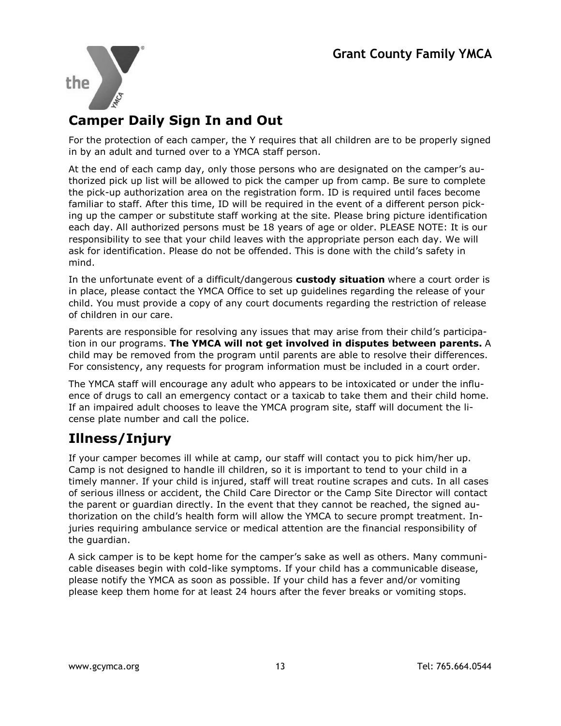

#### **Camper Daily Sign In and Out**

For the protection of each camper, the Y requires that all children are to be properly signed in by an adult and turned over to a YMCA staff person.

At the end of each camp day, only those persons who are designated on the camper's authorized pick up list will be allowed to pick the camper up from camp. Be sure to complete the pick-up authorization area on the registration form. ID is required until faces become familiar to staff. After this time, ID will be required in the event of a different person picking up the camper or substitute staff working at the site. Please bring picture identification each day. All authorized persons must be 18 years of age or older. PLEASE NOTE: It is our responsibility to see that your child leaves with the appropriate person each day. We will ask for identification. Please do not be offended. This is done with the child's safety in mind.

In the unfortunate event of a difficult/dangerous **custody situation** where a court order is in place, please contact the YMCA Office to set up guidelines regarding the release of your child. You must provide a copy of any court documents regarding the restriction of release of children in our care.

Parents are responsible for resolving any issues that may arise from their child's participation in our programs. **The YMCA will not get involved in disputes between parents.** A child may be removed from the program until parents are able to resolve their differences. For consistency, any requests for program information must be included in a court order.

The YMCA staff will encourage any adult who appears to be intoxicated or under the influence of drugs to call an emergency contact or a taxicab to take them and their child home. If an impaired adult chooses to leave the YMCA program site, staff will document the license plate number and call the police.

#### **Illness/Injury**

If your camper becomes ill while at camp, our staff will contact you to pick him/her up. Camp is not designed to handle ill children, so it is important to tend to your child in a timely manner. If your child is injured, staff will treat routine scrapes and cuts. In all cases of serious illness or accident, the Child Care Director or the Camp Site Director will contact the parent or guardian directly. In the event that they cannot be reached, the signed authorization on the child's health form will allow the YMCA to secure prompt treatment. Injuries requiring ambulance service or medical attention are the financial responsibility of the guardian.

A sick camper is to be kept home for the camper's sake as well as others. Many communicable diseases begin with cold-like symptoms. If your child has a communicable disease, please notify the YMCA as soon as possible. If your child has a fever and/or vomiting please keep them home for at least 24 hours after the fever breaks or vomiting stops.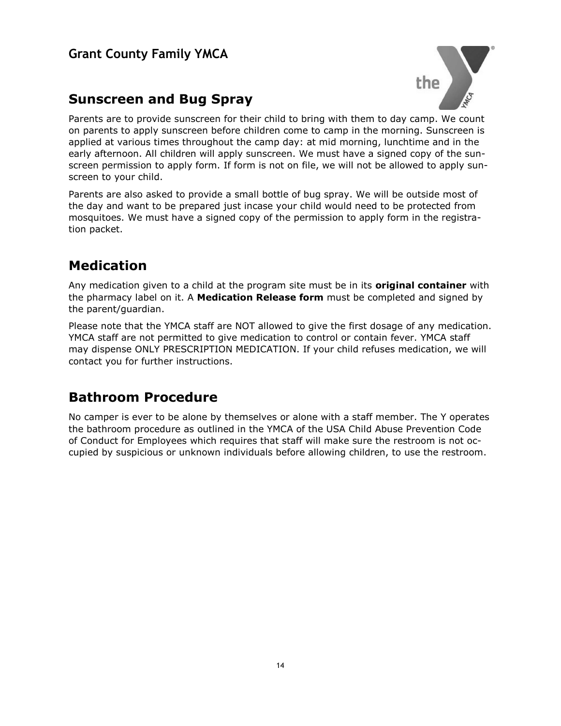#### **Sunscreen and Bug Spray**



Parents are to provide sunscreen for their child to bring with them to day camp. We count on parents to apply sunscreen before children come to camp in the morning. Sunscreen is applied at various times throughout the camp day: at mid morning, lunchtime and in the early afternoon. All children will apply sunscreen. We must have a signed copy of the sunscreen permission to apply form. If form is not on file, we will not be allowed to apply sunscreen to your child.

Parents are also asked to provide a small bottle of bug spray. We will be outside most of the day and want to be prepared just incase your child would need to be protected from mosquitoes. We must have a signed copy of the permission to apply form in the registration packet.

#### **Medication**

Any medication given to a child at the program site must be in its **original container** with the pharmacy label on it. A **Medication Release form** must be completed and signed by the parent/guardian.

Please note that the YMCA staff are NOT allowed to give the first dosage of any medication. YMCA staff are not permitted to give medication to control or contain fever. YMCA staff may dispense ONLY PRESCRIPTION MEDICATION. If your child refuses medication, we will contact you for further instructions.

#### **Bathroom Procedure**

No camper is ever to be alone by themselves or alone with a staff member. The Y operates the bathroom procedure as outlined in the YMCA of the USA Child Abuse Prevention Code of Conduct for Employees which requires that staff will make sure the restroom is not occupied by suspicious or unknown individuals before allowing children, to use the restroom.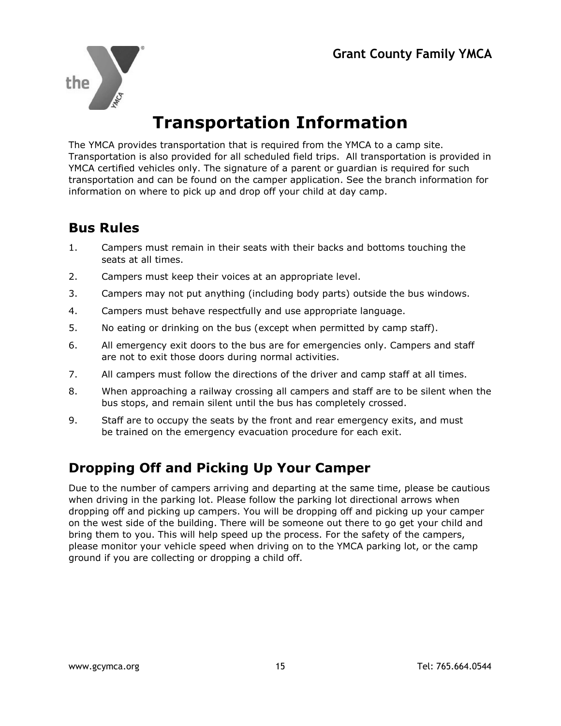

## **Transportation Information**

The YMCA provides transportation that is required from the YMCA to a camp site. Transportation is also provided for all scheduled field trips. All transportation is provided in YMCA certified vehicles only. The signature of a parent or guardian is required for such transportation and can be found on the camper application. See the branch information for information on where to pick up and drop off your child at day camp.

#### **Bus Rules**

- 1. Campers must remain in their seats with their backs and bottoms touching the seats at all times.
- 2. Campers must keep their voices at an appropriate level.
- 3. Campers may not put anything (including body parts) outside the bus windows.
- 4. Campers must behave respectfully and use appropriate language.
- 5. No eating or drinking on the bus (except when permitted by camp staff).
- 6. All emergency exit doors to the bus are for emergencies only. Campers and staff are not to exit those doors during normal activities.
- 7. All campers must follow the directions of the driver and camp staff at all times.
- 8. When approaching a railway crossing all campers and staff are to be silent when the bus stops, and remain silent until the bus has completely crossed.
- 9. Staff are to occupy the seats by the front and rear emergency exits, and must be trained on the emergency evacuation procedure for each exit.

#### **Dropping Off and Picking Up Your Camper**

Due to the number of campers arriving and departing at the same time, please be cautious when driving in the parking lot. Please follow the parking lot directional arrows when dropping off and picking up campers. You will be dropping off and picking up your camper on the west side of the building. There will be someone out there to go get your child and bring them to you. This will help speed up the process. For the safety of the campers, please monitor your vehicle speed when driving on to the YMCA parking lot, or the camp ground if you are collecting or dropping a child off.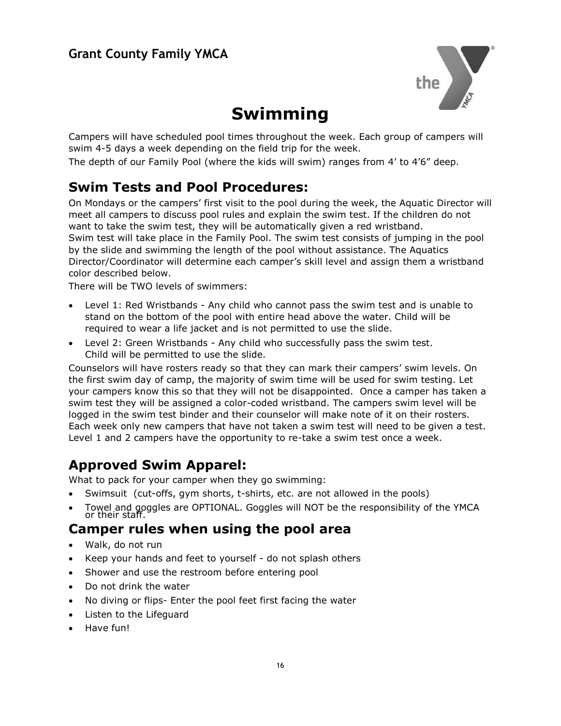

## **Swimming**

Campers will have scheduled pool times throughout the week. Each group of campers will swim 4-5 days a week depending on the field trip for the week.

The depth of our Family Pool (where the kids will swim) ranges from 4' to 4'6" deep.

#### **Swim Tests and Pool Procedures:**

On Mondays or the campers' first visit to the pool during the week, the Aquatic Director will meet all campers to discuss pool rules and explain the swim test. If the children do not want to take the swim test, they will be automatically given a red wristband. Swim test will take place in the Family Pool. The swim test consists of jumping in the pool by the slide and swimming the length of the pool without assistance. The Aquatics Director/Coordinator will determine each camper's skill level and assign them a wristband color described below.

There will be TWO levels of swimmers:

- Level 1: Red Wristbands Any child who cannot pass the swim test and is unable to stand on the bottom of the pool with entire head above the water. Child will be required to wear a life jacket and is not permitted to use the slide.
- Level 2: Green Wristbands Any child who successfully pass the swim test. Child will be permitted to use the slide.

Counselors will have rosters ready so that they can mark their campers' swim levels. On the first swim day of camp, the majority of swim time will be used for swim testing. Let your campers know this so that they will not be disappointed. Once a camper has taken a swim test they will be assigned a color-coded wristband. The campers swim level will be logged in the swim test binder and their counselor will make note of it on their rosters. Each week only new campers that have not taken a swim test will need to be given a test. Level 1 and 2 campers have the opportunity to re-take a swim test once a week.

#### **Approved Swim Apparel:**

What to pack for your camper when they go swimming:

- Swimsuit (cut-offs, gym shorts, t-shirts, etc. are not allowed in the pools)
- Towel and goggles are OPTIONAL. Goggles will NOT be the responsibility of the YMCA or their staff.

#### **Camper rules when using the pool area**

- Walk, do not run
- Keep your hands and feet to yourself do not splash others
- Shower and use the restroom before entering pool
- Do not drink the water
- No diving or flips- Enter the pool feet first facing the water
- Listen to the Lifeguard
- Have fun!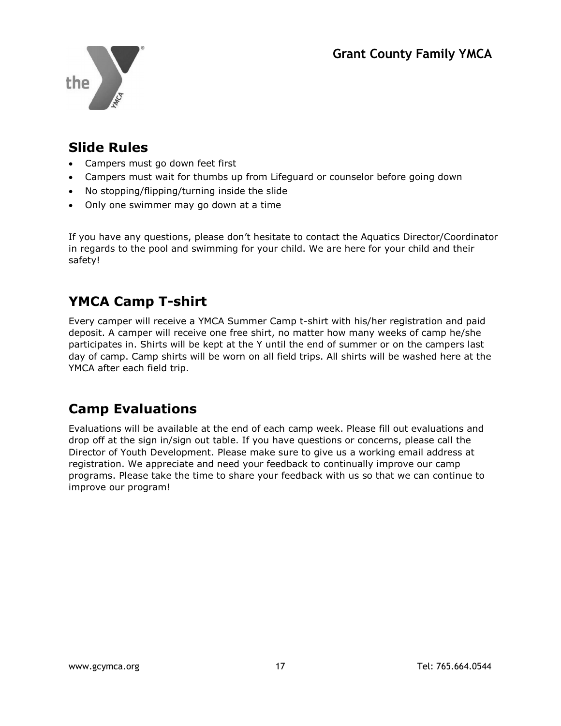

#### **Slide Rules**

- Campers must go down feet first
- Campers must wait for thumbs up from Lifeguard or counselor before going down
- No stopping/flipping/turning inside the slide
- Only one swimmer may go down at a time

If you have any questions, please don't hesitate to contact the Aquatics Director/Coordinator in regards to the pool and swimming for your child. We are here for your child and their safety!

#### **YMCA Camp T-shirt**

Every camper will receive a YMCA Summer Camp t-shirt with his/her registration and paid deposit. A camper will receive one free shirt, no matter how many weeks of camp he/she participates in. Shirts will be kept at the Y until the end of summer or on the campers last day of camp. Camp shirts will be worn on all field trips. All shirts will be washed here at the YMCA after each field trip.

#### **Camp Evaluations**

Evaluations will be available at the end of each camp week. Please fill out evaluations and drop off at the sign in/sign out table. If you have questions or concerns, please call the Director of Youth Development. Please make sure to give us a working email address at registration. We appreciate and need your feedback to continually improve our camp programs. Please take the time to share your feedback with us so that we can continue to improve our program!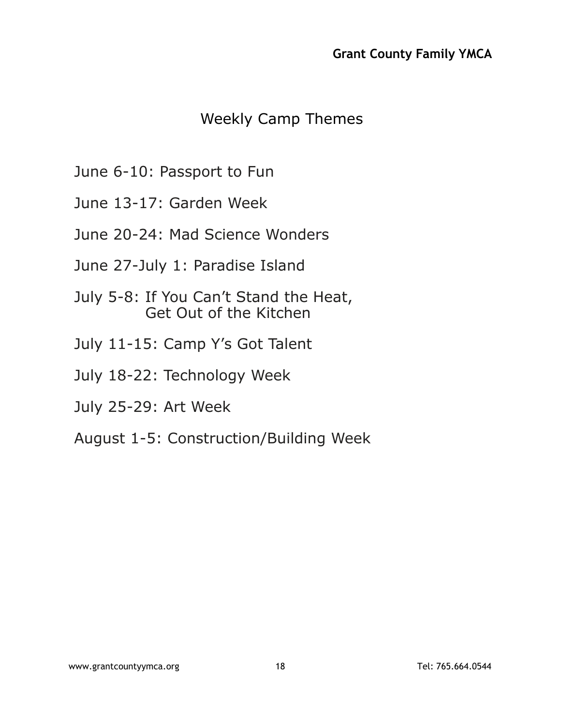#### Weekly Camp Themes

- June 6-10: Passport to Fun
- June 13-17: Garden Week
- June 20-24: Mad Science Wonders
- June 27-July 1: Paradise Island
- July 5-8: If You Can't Stand the Heat, Get Out of the Kitchen
- July 11-15: Camp Y's Got Talent
- July 18-22: Technology Week
- July 25-29: Art Week
- August 1-5: Construction/Building Week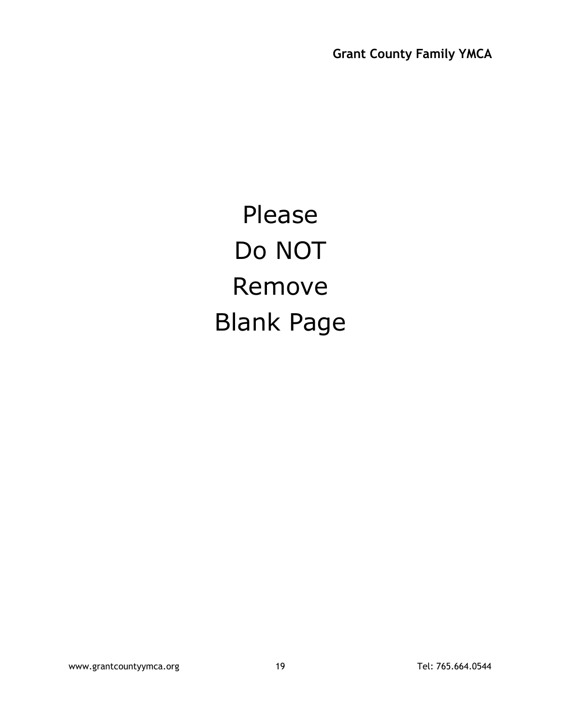Please Do NOT Remove Blank Page